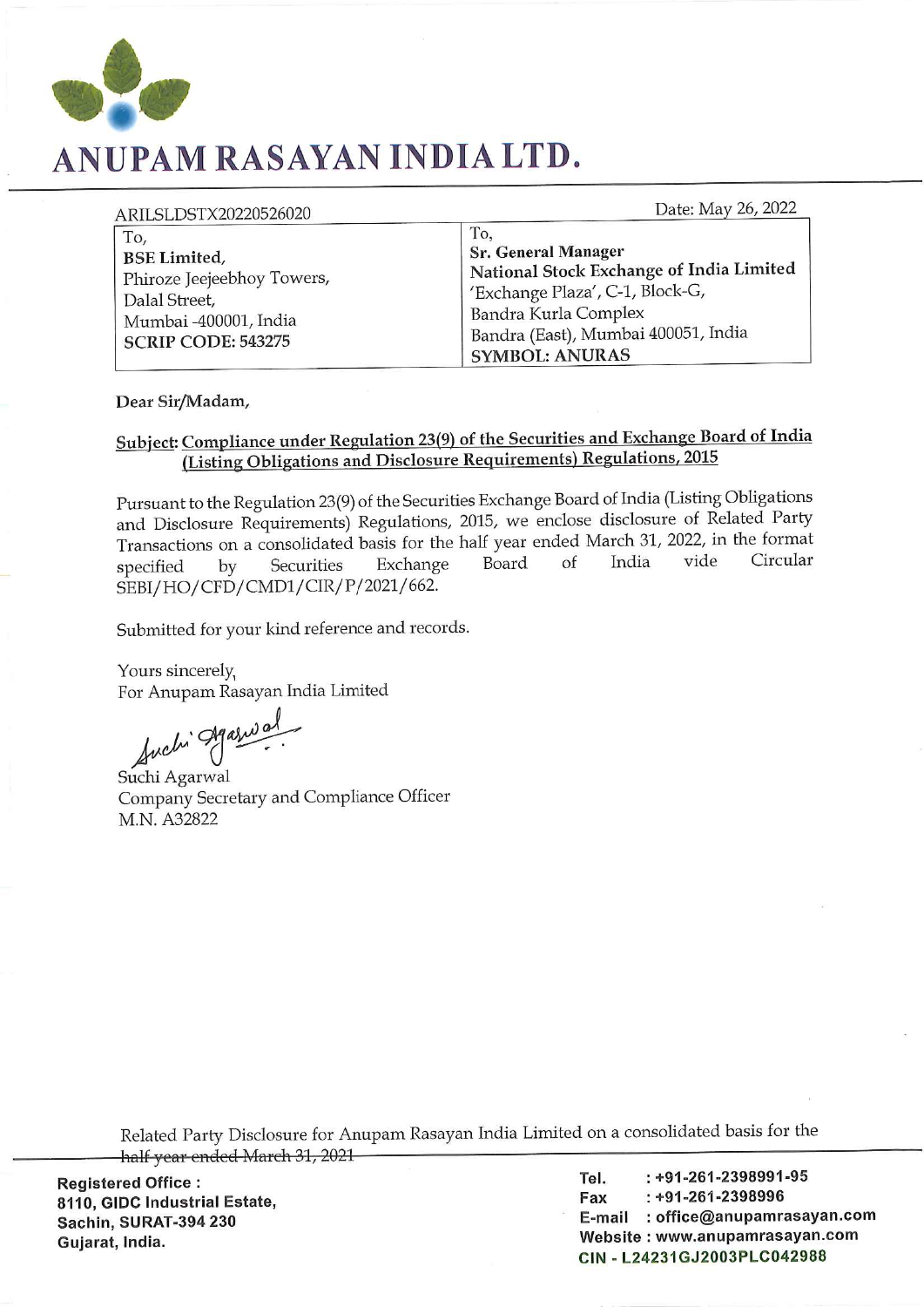

## ANUPAM RASAYAN INDIA LTD.

Date: May 26, 2022

| ARILSLDSTX20220526020                                                                                                            | Date: May 26, 2022                                                                                                                                                                                       |
|----------------------------------------------------------------------------------------------------------------------------------|----------------------------------------------------------------------------------------------------------------------------------------------------------------------------------------------------------|
| To,<br><b>BSE Limited</b> ,<br>Phiroze Jeejeebhoy Towers,<br>Dalal Street,<br>Mumbai -400001, India<br><b>SCRIP CODE: 543275</b> | To,<br><b>Sr. General Manager</b><br>National Stock Exchange of India Limited<br>'Exchange Plaza', C-1, Block-G,<br>Bandra Kurla Complex<br>Bandra (East), Mumbai 400051, India<br><b>SYMBOL: ANURAS</b> |

Dear Sir/Madam,

## Subject: Compliance under Regulation 23(9) of the Securities and Exchange Board of India (Listing Obligations and Disclosure Requirements) Regulations, 2015

Pursuant to the Regulation 23(9) of the Securities Exchange Board of India (Listing Obligations and Disclosure Requirements) Regulations, 2015, we enclose disclosure of Related Party Transactions on a consolidated basis for the half year ended March 31, 2022, in the format vide Circular India **Board**  $\alpha$ f by Securities Exchange specified SEBI/HO/CFD/CMD1/CIR/P/2021/662.

Submitted for your kind reference and records.

Yours sincerely, For Anupam Rasayan India Limited

Suchi Agaswal

Suchi Agarwal Company Secretary and Compliance Officer M.N. A32822

Related Party Disclosure for Anupam Rasayan India Limited on a consolidated basis for the half year ended March 31, 2021

**Registered Office:** 8110, GIDC Industrial Estate, Sachin, SURAT-394 230 Gujarat, India.

 $: +91 - 261 - 2398991 - 95$ Tel.  $: +91 - 261 - 2398996$ Fax E-mail : office@anupamrasayan.com Website: www.anupamrasayan.com CIN - L24231GJ2003PLC042988